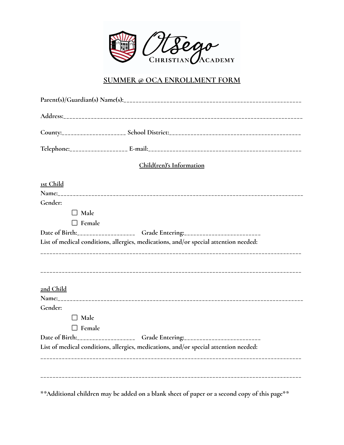

#### **SUMMER @ OCA ENROLLMENT FORM**

|               | Child(ren)'s Information                                                             |  |
|---------------|--------------------------------------------------------------------------------------|--|
| 1st Child     |                                                                                      |  |
|               |                                                                                      |  |
| Gender:       |                                                                                      |  |
| $\Box$ Male   |                                                                                      |  |
| $\Box$ Female |                                                                                      |  |
|               | Date of Birth:_____________________Grade Entering:______________________________     |  |
|               | List of medical conditions, allergies, medications, and/or special attention needed: |  |
| 2nd Child     |                                                                                      |  |
|               |                                                                                      |  |
| Gender:       |                                                                                      |  |
| $\Box$ Male   |                                                                                      |  |
| $\Box$ Female |                                                                                      |  |
|               | Date of Birth:_____________________Grade Entering:______________________________     |  |
|               | List of medical conditions, allergies, medications, and/or special attention needed: |  |
|               |                                                                                      |  |
|               |                                                                                      |  |
|               |                                                                                      |  |
|               |                                                                                      |  |
|               |                                                                                      |  |

**\*\*Additional children may be added on a blank sheet of paper or a second copy of this page\*\***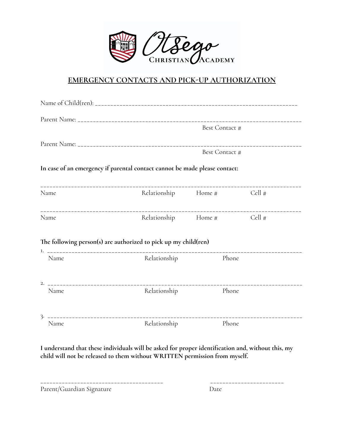

## **EMERGENCY CONTACTS AND PICK-UP AUTHORIZATION**

|      |                                                                            | Best Contact #             |  |  |
|------|----------------------------------------------------------------------------|----------------------------|--|--|
|      | <b>Best Contact #</b>                                                      |                            |  |  |
|      | In case of an emergency if parental contact cannot be made please contact: |                            |  |  |
| Name |                                                                            | Relationship Home # Cell # |  |  |
| Name |                                                                            | Relationship Home # Cell # |  |  |
|      | The following person(s) are authorized to pick up my child(ren)            |                            |  |  |
| Name | Relationship                                                               | Phone                      |  |  |
| Name | Relationship                                                               | Phone                      |  |  |
| Name | Relationship                                                               | Phone                      |  |  |

**I understand that these individuals will be asked for proper identification and, without this, my child will not be released to them without WRITTEN permission from myself.**

\_\_\_\_\_\_\_\_\_\_\_\_\_\_\_\_\_\_\_\_\_\_\_\_\_\_\_\_\_\_\_\_\_\_\_\_\_\_\_\_ \_\_\_\_\_\_\_\_\_\_\_\_\_\_\_\_\_\_\_\_\_\_\_\_ Parent/Guardian Signature Date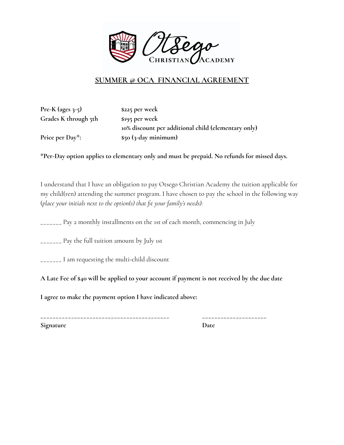

## **SUMMER @ OCA FINANCIAL AGREEMENT**

**Pre-K (ages 3-5) \$225 per week Grades K through 5th \$195 per week**

**10% discount per additional child (elementary only) Price per Day\*: \$50 (3-day minimum)**

**\*Per-Day option applies to elementary only and must be prepaid. No refunds for missed days.**

I understand that I have an obligation to pay Otsego Christian Academy the tuition applicable for my child(ren) attending the summer program. I have chosen to pay the school in the following way (*place your initials next to the option(s) that fit your family's needs):*

\_\_\_\_\_\_\_ Pay 2 monthly installments on the 1st of each month, commencing in July

\_\_\_\_\_\_\_ Pay the full tuition amount by July 1st

\_\_\_\_\_\_\_ I am requesting the multi-child discount

A Late Fee of \$40 will be applied to your account if payment is not received by the due date

**I agree to make the payment option I have indicated above:**

**\_\_\_\_\_\_\_\_\_\_\_\_\_\_\_\_\_\_\_\_\_\_\_\_\_\_\_\_\_\_\_\_\_\_\_\_\_\_\_\_\_\_ \_\_\_\_\_\_\_\_\_\_\_\_\_\_\_\_\_\_\_\_\_ Signature Date**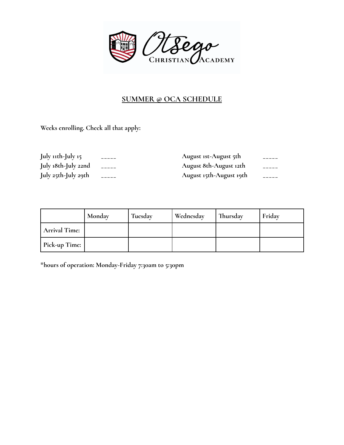

# **SUMMER @ OCA SCHEDULE**

**Weeks enrolling. Check all that apply:**

| July 11th-July 15   | August 1st-August 5th   |  |
|---------------------|-------------------------|--|
| July 18th-July 22nd | August 8th-August 12th  |  |
| July 25th-July 29th | August 15th-August 19th |  |

|                      | Monday | Tuesday | Wednesday | Thursday | Friday |
|----------------------|--------|---------|-----------|----------|--------|
| <b>Arrival Time:</b> |        |         |           |          |        |
| Pick-up Time:        |        |         |           |          |        |

**\*hours of operation: Monday-Friday 7:30am to 5:30pm**